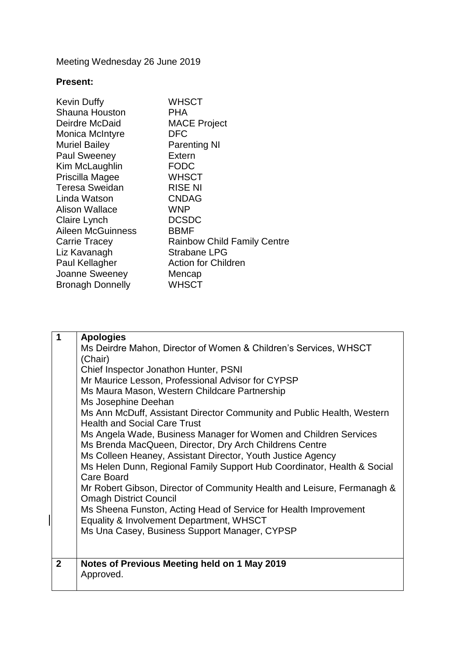Meeting Wednesday 26 June 2019

## **Present:**

| <b>Kevin Duffy</b>       | <b>WHSCT</b>                       |
|--------------------------|------------------------------------|
| <b>Shauna Houston</b>    | <b>PHA</b>                         |
| Deirdre McDaid           | <b>MACE Project</b>                |
| <b>Monica McIntyre</b>   | <b>DFC</b>                         |
| <b>Muriel Bailey</b>     | <b>Parenting NI</b>                |
| <b>Paul Sweeney</b>      | Extern                             |
| Kim McLaughlin           | <b>FODC</b>                        |
| Priscilla Magee          | <b>WHSCT</b>                       |
| <b>Teresa Sweidan</b>    | <b>RISE NI</b>                     |
| Linda Watson             | <b>CNDAG</b>                       |
| <b>Alison Wallace</b>    | <b>WNP</b>                         |
| Claire Lynch             | <b>DCSDC</b>                       |
| <b>Aileen McGuinness</b> | <b>BBMF</b>                        |
| <b>Carrie Tracey</b>     | <b>Rainbow Child Family Centre</b> |
| Liz Kavanagh             | <b>Strabane LPG</b>                |
| Paul Kellagher           | <b>Action for Children</b>         |
| Joanne Sweeney           | Mencap                             |
| <b>Bronagh Donnelly</b>  | <b>WHSCT</b>                       |

| 1            | <b>Apologies</b>                                                                                              |
|--------------|---------------------------------------------------------------------------------------------------------------|
|              | Ms Deirdre Mahon, Director of Women & Children's Services, WHSCT                                              |
|              | (Chair)                                                                                                       |
|              | Chief Inspector Jonathon Hunter, PSNI                                                                         |
|              | Mr Maurice Lesson, Professional Advisor for CYPSP                                                             |
|              | Ms Maura Mason, Western Childcare Partnership                                                                 |
|              | Ms Josephine Deehan                                                                                           |
|              | Ms Ann McDuff, Assistant Director Community and Public Health, Western<br><b>Health and Social Care Trust</b> |
|              | Ms Angela Wade, Business Manager for Women and Children Services                                              |
|              | Ms Brenda MacQueen, Director, Dry Arch Childrens Centre                                                       |
|              | Ms Colleen Heaney, Assistant Director, Youth Justice Agency                                                   |
|              | Ms Helen Dunn, Regional Family Support Hub Coordinator, Health & Social<br>Care Board                         |
|              | Mr Robert Gibson, Director of Community Health and Leisure, Fermanagh &<br><b>Omagh District Council</b>      |
|              | Ms Sheena Funston, Acting Head of Service for Health Improvement                                              |
|              | Equality & Involvement Department, WHSCT                                                                      |
|              | Ms Una Casey, Business Support Manager, CYPSP                                                                 |
|              |                                                                                                               |
|              |                                                                                                               |
| $\mathbf{2}$ | Notes of Previous Meeting held on 1 May 2019                                                                  |
|              | Approved.                                                                                                     |
|              |                                                                                                               |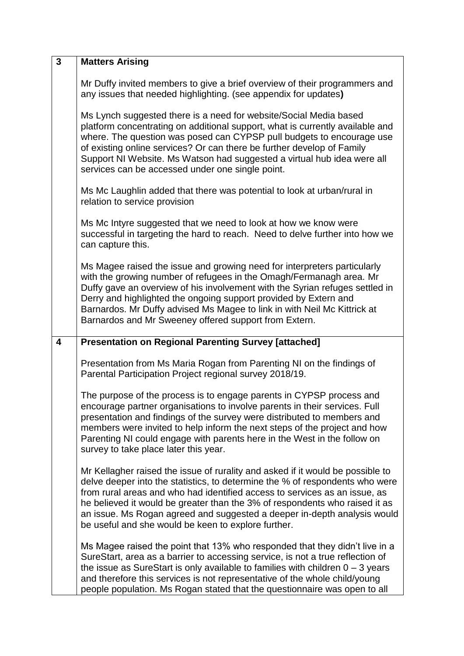| $\overline{3}$ | <b>Matters Arising</b>                                                                                                                                                                                                                                                                                                                                                                                                                                         |
|----------------|----------------------------------------------------------------------------------------------------------------------------------------------------------------------------------------------------------------------------------------------------------------------------------------------------------------------------------------------------------------------------------------------------------------------------------------------------------------|
|                | Mr Duffy invited members to give a brief overview of their programmers and<br>any issues that needed highlighting. (see appendix for updates)                                                                                                                                                                                                                                                                                                                  |
|                | Ms Lynch suggested there is a need for website/Social Media based<br>platform concentrating on additional support, what is currently available and<br>where. The question was posed can CYPSP pull budgets to encourage use<br>of existing online services? Or can there be further develop of Family<br>Support NI Website. Ms Watson had suggested a virtual hub idea were all<br>services can be accessed under one single point.                           |
|                | Ms Mc Laughlin added that there was potential to look at urban/rural in<br>relation to service provision                                                                                                                                                                                                                                                                                                                                                       |
|                | Ms Mc Intyre suggested that we need to look at how we know were<br>successful in targeting the hard to reach. Need to delve further into how we<br>can capture this.                                                                                                                                                                                                                                                                                           |
|                | Ms Magee raised the issue and growing need for interpreters particularly<br>with the growing number of refugees in the Omagh/Fermanagh area. Mr<br>Duffy gave an overview of his involvement with the Syrian refuges settled in<br>Derry and highlighted the ongoing support provided by Extern and<br>Barnardos. Mr Duffy advised Ms Magee to link in with Neil Mc Kittrick at<br>Barnardos and Mr Sweeney offered support from Extern.                       |
| 4              | <b>Presentation on Regional Parenting Survey [attached]</b>                                                                                                                                                                                                                                                                                                                                                                                                    |
|                | Presentation from Ms Maria Rogan from Parenting NI on the findings of<br>Parental Participation Project regional survey 2018/19.                                                                                                                                                                                                                                                                                                                               |
|                | The purpose of the process is to engage parents in CYPSP process and<br>encourage partner organisations to involve parents in their services. Full<br>presentation and findings of the survey were distributed to members and<br>members were invited to help inform the next steps of the project and how<br>Parenting NI could engage with parents here in the West in the follow on<br>survey to take place later this year.                                |
|                | Mr Kellagher raised the issue of rurality and asked if it would be possible to<br>delve deeper into the statistics, to determine the % of respondents who were<br>from rural areas and who had identified access to services as an issue, as<br>he believed it would be greater than the 3% of respondents who raised it as<br>an issue. Ms Rogan agreed and suggested a deeper in-depth analysis would<br>be useful and she would be keen to explore further. |
|                | Ms Magee raised the point that 13% who responded that they didn't live in a<br>SureStart, area as a barrier to accessing service, is not a true reflection of<br>the issue as SureStart is only available to families with children $0 - 3$ years<br>and therefore this services is not representative of the whole child/young                                                                                                                                |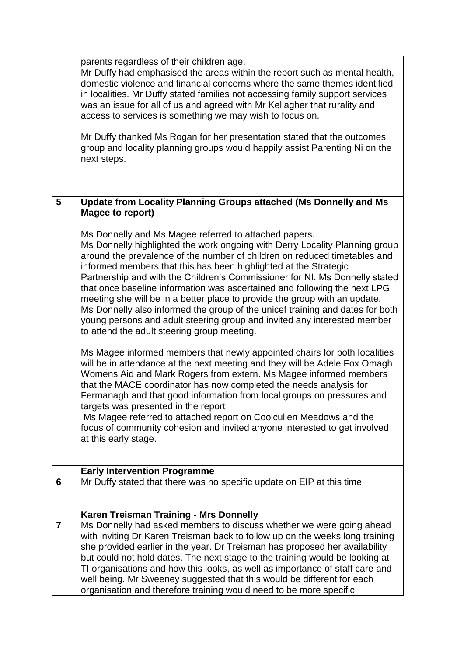|   | parents regardless of their children age.<br>Mr Duffy had emphasised the areas within the report such as mental health,<br>domestic violence and financial concerns where the same themes identified<br>in localities. Mr Duffy stated families not accessing family support services<br>was an issue for all of us and agreed with Mr Kellagher that rurality and<br>access to services is something we may wish to focus on.<br>Mr Duffy thanked Ms Rogan for her presentation stated that the outcomes<br>group and locality planning groups would happily assist Parenting Ni on the<br>next steps.                                                                                                                                     |
|---|---------------------------------------------------------------------------------------------------------------------------------------------------------------------------------------------------------------------------------------------------------------------------------------------------------------------------------------------------------------------------------------------------------------------------------------------------------------------------------------------------------------------------------------------------------------------------------------------------------------------------------------------------------------------------------------------------------------------------------------------|
|   |                                                                                                                                                                                                                                                                                                                                                                                                                                                                                                                                                                                                                                                                                                                                             |
| 5 | <b>Update from Locality Planning Groups attached (Ms Donnelly and Ms</b><br>Magee to report)                                                                                                                                                                                                                                                                                                                                                                                                                                                                                                                                                                                                                                                |
|   | Ms Donnelly and Ms Magee referred to attached papers.<br>Ms Donnelly highlighted the work ongoing with Derry Locality Planning group<br>around the prevalence of the number of children on reduced timetables and<br>informed members that this has been highlighted at the Strategic<br>Partnership and with the Children's Commissioner for NI. Ms Donnelly stated<br>that once baseline information was ascertained and following the next LPG<br>meeting she will be in a better place to provide the group with an update.<br>Ms Donnelly also informed the group of the unicef training and dates for both<br>young persons and adult steering group and invited any interested member<br>to attend the adult steering group meeting. |
|   | Ms Magee informed members that newly appointed chairs for both localities<br>will be in attendance at the next meeting and they will be Adele Fox Omagh<br>Womens Aid and Mark Rogers from extern. Ms Magee informed members<br>that the MACE coordinator has now completed the needs analysis for<br>Fermanagh and that good information from local groups on pressures and<br>targets was presented in the report<br>Ms Magee referred to attached report on Coolcullen Meadows and the<br>focus of community cohesion and invited anyone interested to get involved<br>at this early stage.                                                                                                                                              |
| 6 | <b>Early Intervention Programme</b><br>Mr Duffy stated that there was no specific update on EIP at this time                                                                                                                                                                                                                                                                                                                                                                                                                                                                                                                                                                                                                                |
| 7 | <b>Karen Treisman Training - Mrs Donnelly</b><br>Ms Donnelly had asked members to discuss whether we were going ahead<br>with inviting Dr Karen Treisman back to follow up on the weeks long training<br>she provided earlier in the year. Dr Treisman has proposed her availability<br>but could not hold dates. The next stage to the training would be looking at<br>TI organisations and how this looks, as well as importance of staff care and<br>well being. Mr Sweeney suggested that this would be different for each<br>organisation and therefore training would need to be more specific                                                                                                                                        |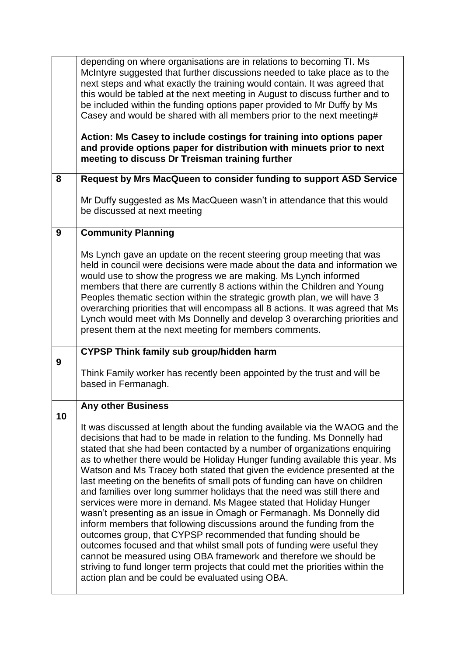|    | depending on where organisations are in relations to becoming TI. Ms<br>McIntyre suggested that further discussions needed to take place as to the<br>next steps and what exactly the training would contain. It was agreed that<br>this would be tabled at the next meeting in August to discuss further and to<br>be included within the funding options paper provided to Mr Duffy by Ms<br>Casey and would be shared with all members prior to the next meeting#<br>Action: Ms Casey to include costings for training into options paper<br>and provide options paper for distribution with minuets prior to next<br>meeting to discuss Dr Treisman training further                                                                                                                                                                                                                                                      |
|----|-------------------------------------------------------------------------------------------------------------------------------------------------------------------------------------------------------------------------------------------------------------------------------------------------------------------------------------------------------------------------------------------------------------------------------------------------------------------------------------------------------------------------------------------------------------------------------------------------------------------------------------------------------------------------------------------------------------------------------------------------------------------------------------------------------------------------------------------------------------------------------------------------------------------------------|
| 8  | Request by Mrs MacQueen to consider funding to support ASD Service                                                                                                                                                                                                                                                                                                                                                                                                                                                                                                                                                                                                                                                                                                                                                                                                                                                            |
|    | Mr Duffy suggested as Ms MacQueen wasn't in attendance that this would<br>be discussed at next meeting                                                                                                                                                                                                                                                                                                                                                                                                                                                                                                                                                                                                                                                                                                                                                                                                                        |
| 9  | <b>Community Planning</b>                                                                                                                                                                                                                                                                                                                                                                                                                                                                                                                                                                                                                                                                                                                                                                                                                                                                                                     |
|    | Ms Lynch gave an update on the recent steering group meeting that was<br>held in council were decisions were made about the data and information we<br>would use to show the progress we are making. Ms Lynch informed<br>members that there are currently 8 actions within the Children and Young<br>Peoples thematic section within the strategic growth plan, we will have 3<br>overarching priorities that will encompass all 8 actions. It was agreed that Ms<br>Lynch would meet with Ms Donnelly and develop 3 overarching priorities and<br>present them at the next meeting for members comments.                                                                                                                                                                                                                                                                                                                    |
| 9  | <b>CYPSP Think family sub group/hidden harm</b>                                                                                                                                                                                                                                                                                                                                                                                                                                                                                                                                                                                                                                                                                                                                                                                                                                                                               |
|    | Think Family worker has recently been appointed by the trust and will be<br>based in Fermanagh.                                                                                                                                                                                                                                                                                                                                                                                                                                                                                                                                                                                                                                                                                                                                                                                                                               |
| 10 | Any other Business                                                                                                                                                                                                                                                                                                                                                                                                                                                                                                                                                                                                                                                                                                                                                                                                                                                                                                            |
|    | It was discussed at length about the funding available via the WAOG and the<br>decisions that had to be made in relation to the funding. Ms Donnelly had<br>stated that she had been contacted by a number of organizations enquiring<br>as to whether there would be Holiday Hunger funding available this year. Ms<br>Watson and Ms Tracey both stated that given the evidence presented at the<br>last meeting on the benefits of small pots of funding can have on children<br>and families over long summer holidays that the need was still there and<br>services were more in demand. Ms Magee stated that Holiday Hunger<br>wasn't presenting as an issue in Omagh or Fermanagh. Ms Donnelly did<br>inform members that following discussions around the funding from the<br>outcomes group, that CYPSP recommended that funding should be<br>outcomes focused and that whilst small pots of funding were useful they |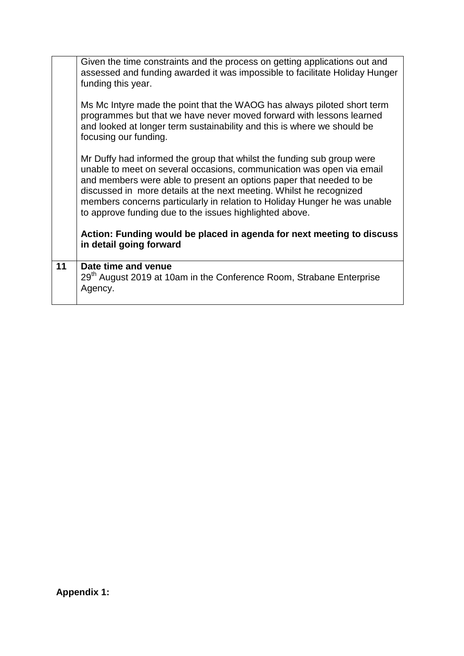|    | Given the time constraints and the process on getting applications out and<br>assessed and funding awarded it was impossible to facilitate Holiday Hunger<br>funding this year.<br>Ms Mc Intyre made the point that the WAOG has always piloted short term                                                                                                                                                                            |
|----|---------------------------------------------------------------------------------------------------------------------------------------------------------------------------------------------------------------------------------------------------------------------------------------------------------------------------------------------------------------------------------------------------------------------------------------|
|    | programmes but that we have never moved forward with lessons learned<br>and looked at longer term sustainability and this is where we should be<br>focusing our funding.                                                                                                                                                                                                                                                              |
|    | Mr Duffy had informed the group that whilst the funding sub group were<br>unable to meet on several occasions, communication was open via email<br>and members were able to present an options paper that needed to be<br>discussed in more details at the next meeting. Whilst he recognized<br>members concerns particularly in relation to Holiday Hunger he was unable<br>to approve funding due to the issues highlighted above. |
|    | Action: Funding would be placed in agenda for next meeting to discuss<br>in detail going forward                                                                                                                                                                                                                                                                                                                                      |
| 11 | Date time and venue<br>29 <sup>th</sup> August 2019 at 10am in the Conference Room, Strabane Enterprise<br>Agency.                                                                                                                                                                                                                                                                                                                    |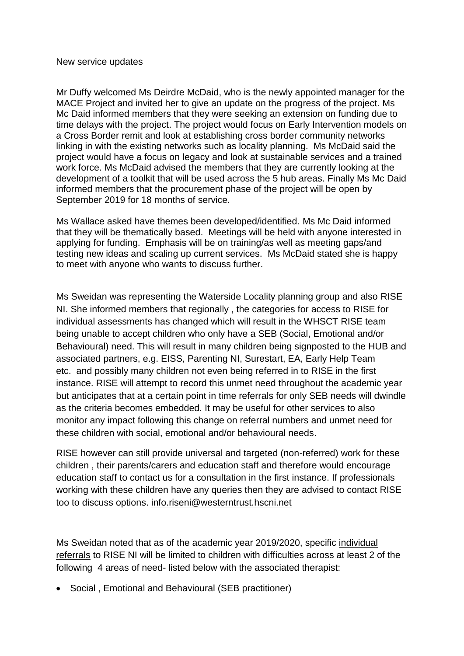Mr Duffy welcomed Ms Deirdre McDaid, who is the newly appointed manager for the MACE Project and invited her to give an update on the progress of the project. Ms Mc Daid informed members that they were seeking an extension on funding due to time delays with the project. The project would focus on Early Intervention models on a Cross Border remit and look at establishing cross border community networks linking in with the existing networks such as locality planning. Ms McDaid said the project would have a focus on legacy and look at sustainable services and a trained work force. Ms McDaid advised the members that they are currently looking at the development of a toolkit that will be used across the 5 hub areas. Finally Ms Mc Daid informed members that the procurement phase of the project will be open by September 2019 for 18 months of service.

Ms Wallace asked have themes been developed/identified. Ms Mc Daid informed that they will be thematically based. Meetings will be held with anyone interested in applying for funding. Emphasis will be on training/as well as meeting gaps/and testing new ideas and scaling up current services. Ms McDaid stated she is happy to meet with anyone who wants to discuss further.

Ms Sweidan was representing the Waterside Locality planning group and also RISE NI. She informed members that regionally , the categories for access to RISE for individual assessments has changed which will result in the WHSCT RISE team being unable to accept children who only have a SEB (Social, Emotional and/or Behavioural) need. This will result in many children being signposted to the HUB and associated partners, e.g. EISS, Parenting NI, Surestart, EA, Early Help Team etc. and possibly many children not even being referred in to RISE in the first instance. RISE will attempt to record this unmet need throughout the academic year but anticipates that at a certain point in time referrals for only SEB needs will dwindle as the criteria becomes embedded. It may be useful for other services to also monitor any impact following this change on referral numbers and unmet need for these children with social, emotional and/or behavioural needs.

RISE however can still provide universal and targeted (non-referred) work for these children , their parents/carers and education staff and therefore would encourage education staff to contact us for a consultation in the first instance. If professionals working with these children have any queries then they are advised to contact RISE too to discuss options. [info.riseni@westerntrust.hscni.net](mailto:info.riseni@westerntrust.hscni.net)

Ms Sweidan noted that as of the academic year 2019/2020, specific individual referrals to RISE NI will be limited to children with difficulties across at least 2 of the following 4 areas of need- listed below with the associated therapist:

Social , Emotional and Behavioural (SEB practitioner)